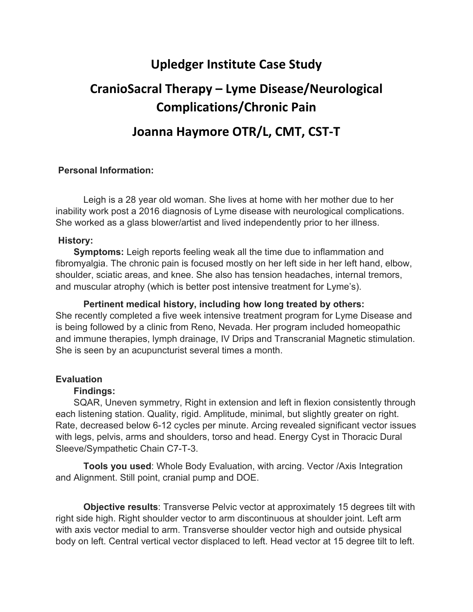## **Upledger Institute Case Study**

# **CranioSacral Therapy – Lyme Disease/Neurological Complications/Chronic Pain**

### **Joanna Haymore OTR/L, CMT, CST‐T**

#### **Personal Information:**

Leigh is a 28 year old woman. She lives at home with her mother due to her inability work post a 2016 diagnosis of Lyme disease with neurological complications. She worked as a glass blower/artist and lived independently prior to her illness.

#### **History:**

 **Symptoms:** Leigh reports feeling weak all the time due to inflammation and fibromyalgia. The chronic pain is focused mostly on her left side in her left hand, elbow, shoulder, sciatic areas, and knee. She also has tension headaches, internal tremors, and muscular atrophy (which is better post intensive treatment for Lyme's).

**Pertinent medical history, including how long treated by others:** She recently completed a five week intensive treatment program for Lyme Disease and is being followed by a clinic from Reno, Nevada. Her program included homeopathic and immune therapies, lymph drainage, IV Drips and Transcranial Magnetic stimulation. She is seen by an acupuncturist several times a month.

#### **Evaluation**

#### **Findings:**

 SQAR, Uneven symmetry, Right in extension and left in flexion consistently through each listening station. Quality, rigid. Amplitude, minimal, but slightly greater on right. Rate, decreased below 6-12 cycles per minute. Arcing revealed significant vector issues with legs, pelvis, arms and shoulders, torso and head. Energy Cyst in Thoracic Dural Sleeve/Sympathetic Chain C7-T-3.

**Tools you used**: Whole Body Evaluation, with arcing. Vector /Axis Integration and Alignment. Still point, cranial pump and DOE.

 **Objective results**: Transverse Pelvic vector at approximately 15 degrees tilt with right side high. Right shoulder vector to arm discontinuous at shoulder joint. Left arm with axis vector medial to arm. Transverse shoulder vector high and outside physical body on left. Central vertical vector displaced to left. Head vector at 15 degree tilt to left.